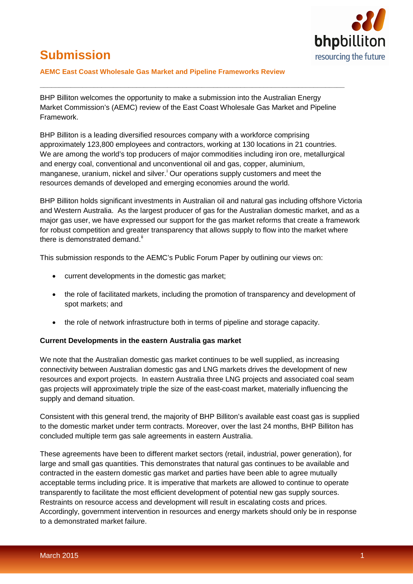

# **Submission**

#### **AEMC East Coast Wholesale Gas Market and Pipeline Frameworks Review**

BHP Billiton welcomes the opportunity to make a submission into the Australian Energy Market Commission's (AEMC) review of the East Coast Wholesale Gas Market and Pipeline Framework.

**\_\_\_\_\_\_\_\_\_\_\_\_\_\_\_\_\_\_\_\_\_\_\_\_\_\_\_\_\_\_\_\_\_\_\_\_\_\_\_\_\_\_\_\_\_\_\_\_\_\_\_\_\_\_\_\_\_\_\_\_\_\_\_\_\_\_\_\_\_\_\_\_\_\_\_\_\_\_\_**

BHP Billiton is a leading diversified resources company with a workforce comprising approximately 123,800 employees and contractors, working at 130 locations in 21 countries. We are among the world's top producers of major commodities including iron ore, metallurgical and energy coal, conventional and unconventional oil and gas, copper, aluminium, manganese, uran[i](#page-2-0)um, nickel and silver.<sup>i</sup> Our operations supply customers and meet the resources demands of developed and emerging economies around the world.

BHP Billiton holds significant investments in Australian oil and natural gas including offshore Victoria and Western Australia. As the largest producer of gas for the Australian domestic market, and as a major gas user, we have expressed our support for the gas market reforms that create a framework for robust competition and greater transparency that allows supply to flow into the market where there is demonstrated demand.<sup>[ii](#page-2-1)</sup>

This submission responds to the AEMC's Public Forum Paper by outlining our views on:

- current developments in the domestic gas market;
- the role of facilitated markets, including the promotion of transparency and development of spot markets; and
- the role of network infrastructure both in terms of pipeline and storage capacity.

#### **Current Developments in the eastern Australia gas market**

We note that the Australian domestic gas market continues to be well supplied, as increasing connectivity between Australian domestic gas and LNG markets drives the development of new resources and export projects. In eastern Australia three LNG projects and associated coal seam gas projects will approximately triple the size of the east-coast market, materially influencing the supply and demand situation.

Consistent with this general trend, the majority of BHP Billiton's available east coast gas is supplied to the domestic market under term contracts. Moreover, over the last 24 months, BHP Billiton has concluded multiple term gas sale agreements in eastern Australia.

These agreements have been to different market sectors (retail, industrial, power generation), for large and small gas quantities. This demonstrates that natural gas continues to be available and contracted in the eastern domestic gas market and parties have been able to agree mutually acceptable terms including price. It is imperative that markets are allowed to continue to operate transparently to facilitate the most efficient development of potential new gas supply sources. Restraints on resource access and development will result in escalating costs and prices. Accordingly, government intervention in resources and energy markets should only be in response to a demonstrated market failure.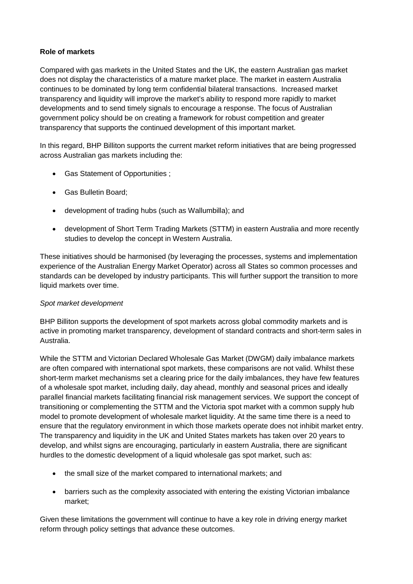# **Role of markets**

Compared with gas markets in the United States and the UK, the eastern Australian gas market does not display the characteristics of a mature market place. The market in eastern Australia continues to be dominated by long term confidential bilateral transactions. Increased market transparency and liquidity will improve the market's ability to respond more rapidly to market developments and to send timely signals to encourage a response. The focus of Australian government policy should be on creating a framework for robust competition and greater transparency that supports the continued development of this important market.

In this regard, BHP Billiton supports the current market reform initiatives that are being progressed across Australian gas markets including the:

- Gas Statement of Opportunities ;
- Gas Bulletin Board;
- development of trading hubs (such as Wallumbilla); and
- development of Short Term Trading Markets (STTM) in eastern Australia and more recently studies to develop the concept in Western Australia.

These initiatives should be harmonised (by leveraging the processes, systems and implementation experience of the Australian Energy Market Operator) across all States so common processes and standards can be developed by industry participants. This will further support the transition to more liquid markets over time.

# *Spot market development*

BHP Billiton supports the development of spot markets across global commodity markets and is active in promoting market transparency, development of standard contracts and short-term sales in Australia.

While the STTM and Victorian Declared Wholesale Gas Market (DWGM) daily imbalance markets are often compared with international spot markets, these comparisons are not valid. Whilst these short-term market mechanisms set a clearing price for the daily imbalances, they have few features of a wholesale spot market, including daily, day ahead, monthly and seasonal prices and ideally parallel financial markets facilitating financial risk management services. We support the concept of transitioning or complementing the STTM and the Victoria spot market with a common supply hub model to promote development of wholesale market liquidity. At the same time there is a need to ensure that the regulatory environment in which those markets operate does not inhibit market entry. The transparency and liquidity in the UK and United States markets has taken over 20 years to develop, and whilst signs are encouraging, particularly in eastern Australia, there are significant hurdles to the domestic development of a liquid wholesale gas spot market, such as:

- the small size of the market compared to international markets; and
- barriers such as the complexity associated with entering the existing Victorian imbalance market;

Given these limitations the government will continue to have a key role in driving energy market reform through policy settings that advance these outcomes.